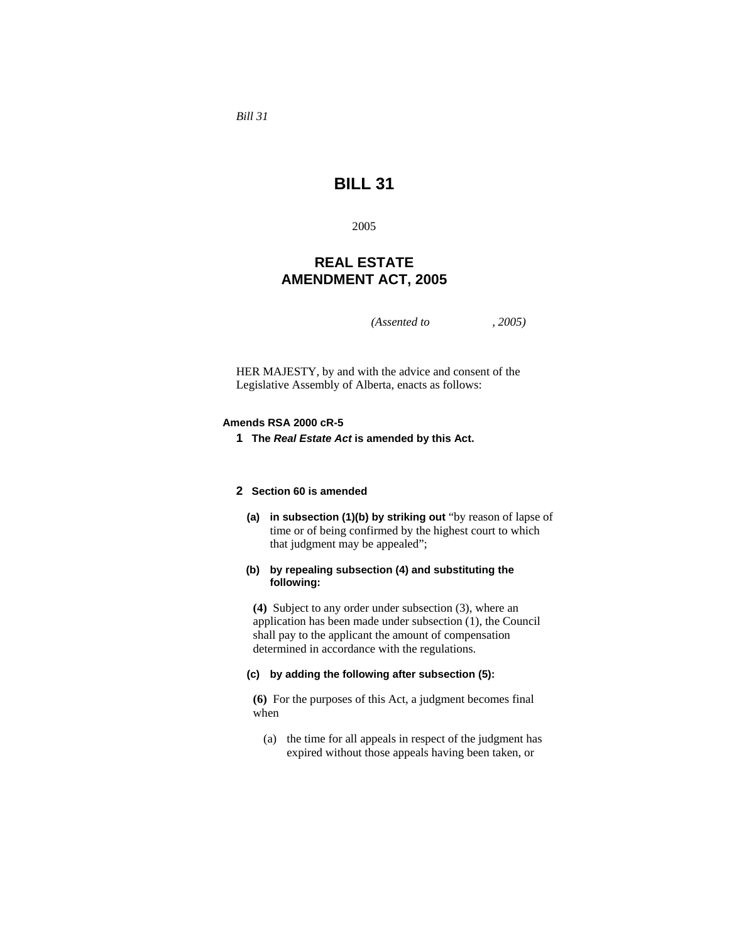*Bill 31* 

# **BILL 31**

2005

# **REAL ESTATE AMENDMENT ACT, 2005**

*(Assented to , 2005)* 

HER MAJESTY, by and with the advice and consent of the Legislative Assembly of Alberta, enacts as follows:

#### **Amends RSA 2000 cR-5**

**1 The** *Real Estate Act* **is amended by this Act.** 

# **2 Section 60 is amended**

**(a) in subsection (1)(b) by striking out** "by reason of lapse of time or of being confirmed by the highest court to which that judgment may be appealed";

# **(b) by repealing subsection (4) and substituting the following:**

**(4)** Subject to any order under subsection (3), where an application has been made under subsection (1), the Council shall pay to the applicant the amount of compensation determined in accordance with the regulations.

### **(c) by adding the following after subsection (5):**

**(6)** For the purposes of this Act, a judgment becomes final when

 (a) the time for all appeals in respect of the judgment has expired without those appeals having been taken, or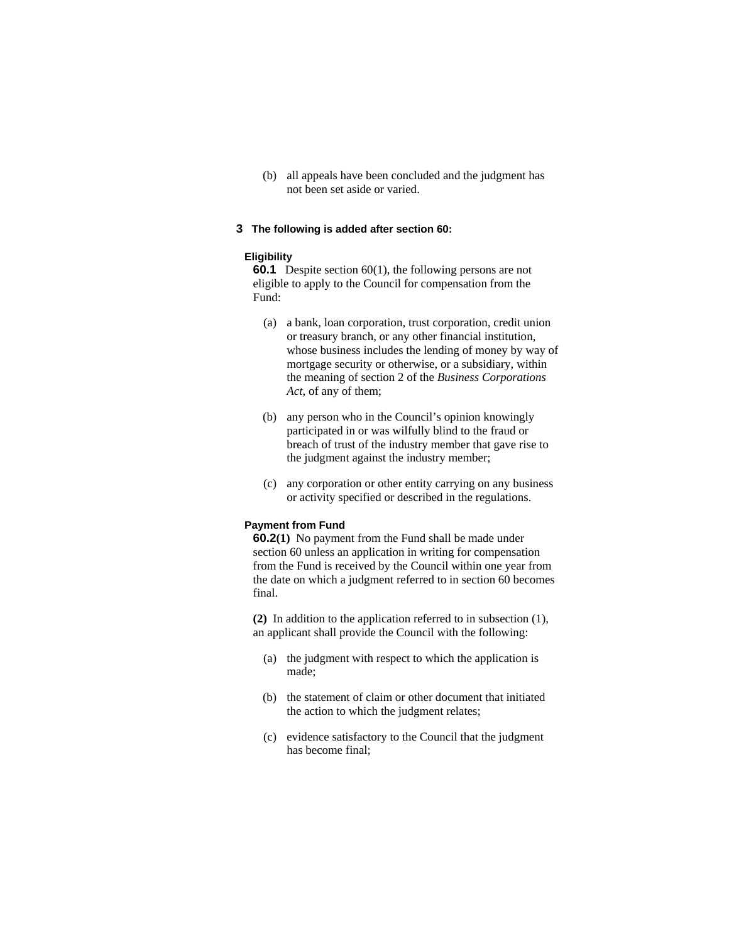(b) all appeals have been concluded and the judgment has not been set aside or varied.

#### **3 The following is added after section 60:**

#### **Eligibility**

**60.1** Despite section 60(1), the following persons are not eligible to apply to the Council for compensation from the Fund:

- (a) a bank, loan corporation, trust corporation, credit union or treasury branch, or any other financial institution, whose business includes the lending of money by way of mortgage security or otherwise, or a subsidiary, within the meaning of section 2 of the *Business Corporations Act*, of any of them;
- (b) any person who in the Council's opinion knowingly participated in or was wilfully blind to the fraud or breach of trust of the industry member that gave rise to the judgment against the industry member;
- (c) any corporation or other entity carrying on any business or activity specified or described in the regulations.

### **Payment from Fund**

**60.2(1)** No payment from the Fund shall be made under section 60 unless an application in writing for compensation from the Fund is received by the Council within one year from the date on which a judgment referred to in section 60 becomes final.

**(2)** In addition to the application referred to in subsection (1), an applicant shall provide the Council with the following:

- (a) the judgment with respect to which the application is made;
- (b) the statement of claim or other document that initiated the action to which the judgment relates;
- (c) evidence satisfactory to the Council that the judgment has become final;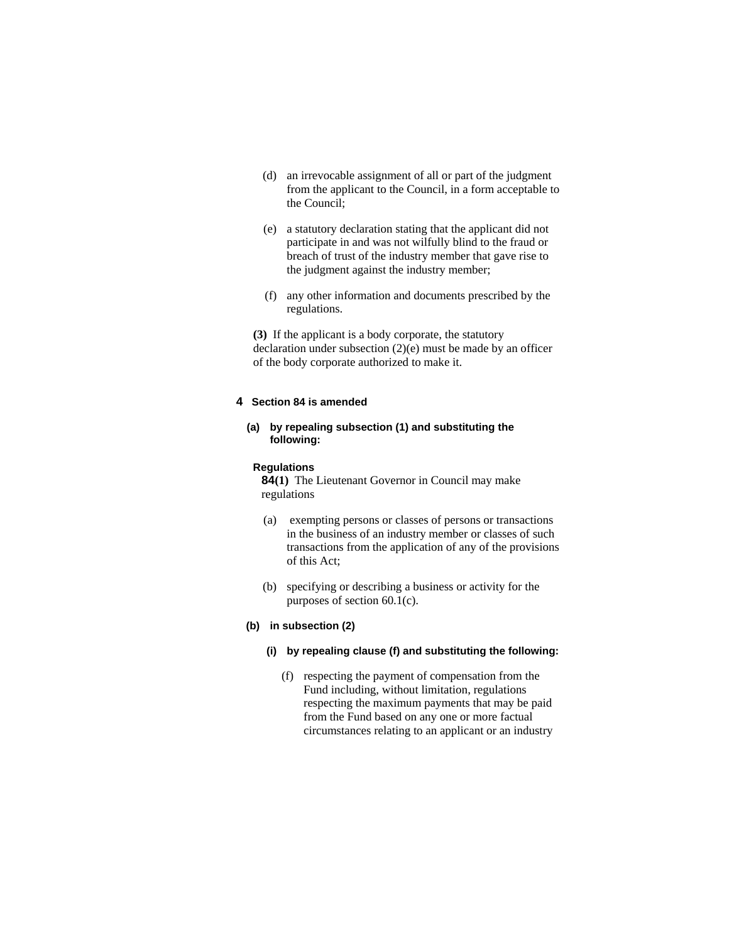- (d) an irrevocable assignment of all or part of the judgment from the applicant to the Council, in a form acceptable to the Council;
- (e) a statutory declaration stating that the applicant did not participate in and was not wilfully blind to the fraud or breach of trust of the industry member that gave rise to the judgment against the industry member;
- (f) any other information and documents prescribed by the regulations.

**(3)** If the applicant is a body corporate, the statutory declaration under subsection (2)(e) must be made by an officer of the body corporate authorized to make it.

#### **4 Section 84 is amended**

### **(a) by repealing subsection (1) and substituting the following:**

#### **Regulations**

**84(1)** The Lieutenant Governor in Council may make regulations

- (a) exempting persons or classes of persons or transactions in the business of an industry member or classes of such transactions from the application of any of the provisions of this Act;
- (b) specifying or describing a business or activity for the purposes of section 60.1(c).

### **(b) in subsection (2)**

# **(i) by repealing clause (f) and substituting the following:**

 (f) respecting the payment of compensation from the Fund including, without limitation, regulations respecting the maximum payments that may be paid from the Fund based on any one or more factual circumstances relating to an applicant or an industry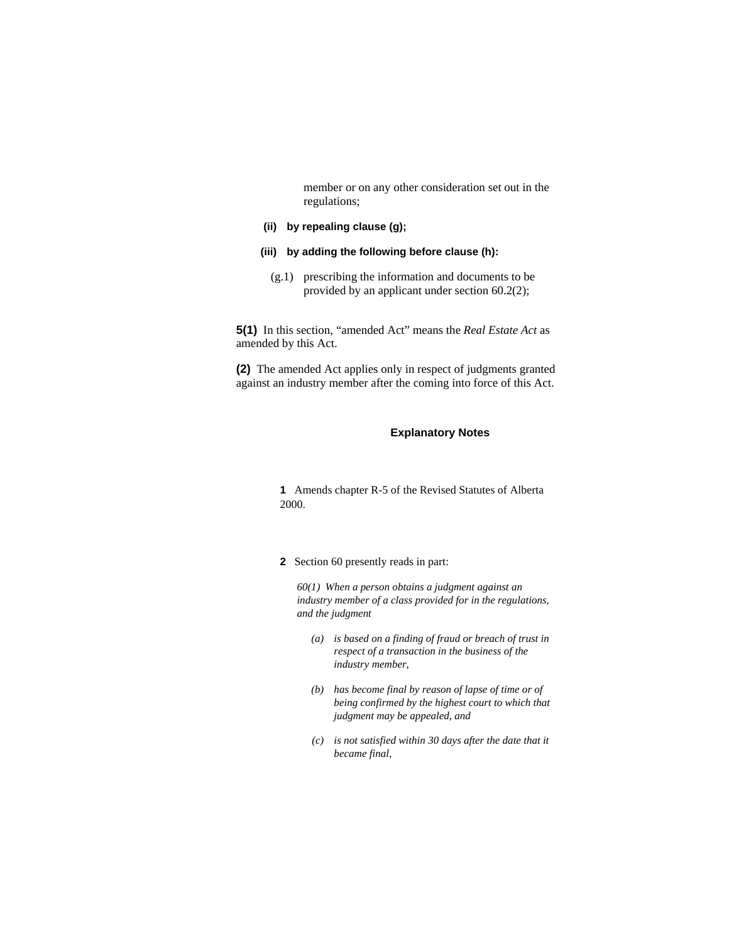member or on any other consideration set out in the regulations;

#### **(ii) by repealing clause (g);**

- **(iii) by adding the following before clause (h):** 
	- (g.1) prescribing the information and documents to be provided by an applicant under section 60.2(2);

**5(1)** In this section, "amended Act" means the *Real Estate Act* as amended by this Act.

**(2)** The amended Act applies only in respect of judgments granted against an industry member after the coming into force of this Act.

#### **Explanatory Notes**

**1** Amends chapter R-5 of the Revised Statutes of Alberta 2000.

**2** Section 60 presently reads in part:

*60(1) When a person obtains a judgment against an industry member of a class provided for in the regulations, and the judgment* 

- *(a) is based on a finding of fraud or breach of trust in respect of a transaction in the business of the industry member,*
- *(b) has become final by reason of lapse of time or of being confirmed by the highest court to which that judgment may be appealed, and*
- *(c) is not satisfied within 30 days after the date that it became final,*